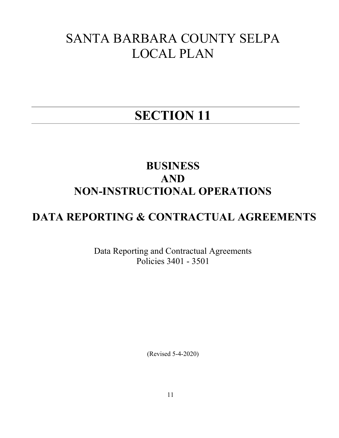## SANTA BARBARA COUNTY SELPA LOCAL PLAN

# SECTION 11

### BUSINESS AND NON-INSTRUCTIONAL OPERATIONS

## DATA REPORTING & CONTRACTUAL AGREEMENTS

Data Reporting and Contractual Agreements Policies 3401 - 3501

(Revised 5-4-2020)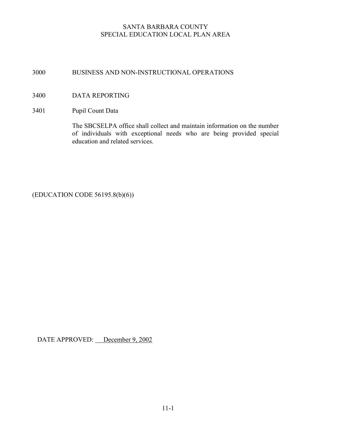#### 3000 BUSINESS AND NON-INSTRUCTIONAL OPERATIONS

#### 3400 DATA REPORTING

#### 3401 Pupil Count Data

The SBCSELPA office shall collect and maintain information on the number of individuals with exceptional needs who are being provided special education and related services.

(EDUCATION CODE 56195.8(b)(6))

DATE APPROVED: December 9, 2002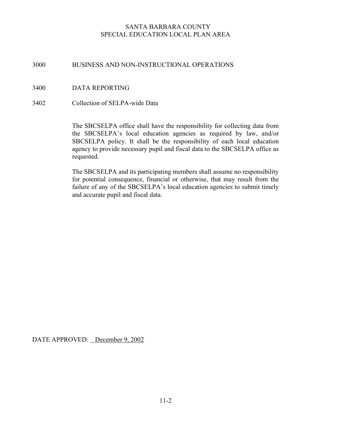#### 3000 BUSINESS AND NON-INSTRUCTIONAL OPERATIONS

- 3400 DATA REPORTING
- 3402 Collection of SELPA-wide Data

The SBCSELPA office shall have the responsibility for collecting data from the SBCSELPA's local education agencies as required by law, and/or SBCSELPA policy. It shall be the responsibility of each local education agency to provide necessary pupil and fiscal data to the SBCSELPA office as requested.

The SBCSELPA and its participating members shall assume no responsibility for potential consequence, financial or otherwise, that may result from the failure of any of the SBCSELPA's local education agencies to submit timely and accurate pupil and fiscal data.

DATE APPROVED: December 9, 2002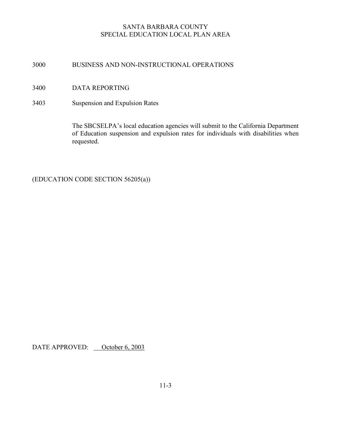#### 3000 BUSINESS AND NON-INSTRUCTIONAL OPERATIONS

- 3400 DATA REPORTING
- 3403 Suspension and Expulsion Rates

 The SBCSELPA's local education agencies will submit to the California Department of Education suspension and expulsion rates for individuals with disabilities when requested.

(EDUCATION CODE SECTION 56205(a))

DATE APPROVED: October 6, 2003